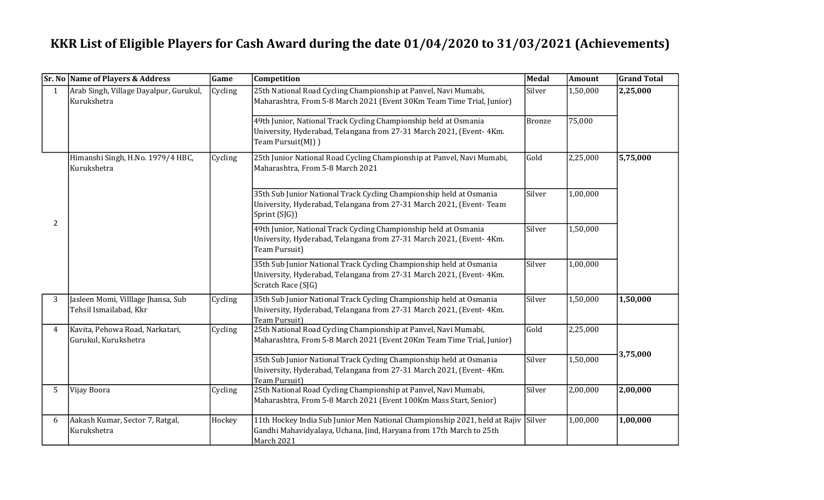## KKR List of Eligible Players for Cash Award during the date 01/04/2020 to 31/03/2021 (Achievements)

|                | <b>Sr. No Name of Players &amp; Address</b>                  | Game    | Competition                                                                                                                                                       | Medal         | Amount   | <b>Grand Total</b> |
|----------------|--------------------------------------------------------------|---------|-------------------------------------------------------------------------------------------------------------------------------------------------------------------|---------------|----------|--------------------|
| $\overline{1}$ | Arab Singh, Village Dayalpur, Gurukul,<br>Kurukshetra        | Cycling | 25th National Road Cycling Championship at Panvel, Navi Mumabi,<br>Maharashtra, From 5-8 March 2021 (Event 30Km Team Time Trial, Junior)                          | Silver        | 1,50,000 | 2,25,000           |
|                |                                                              |         | 49th Junior, National Track Cycling Championship held at Osmania<br>University, Hyderabad, Telangana from 27-31 March 2021, (Event- 4Km.<br>Team Pursuit(MJ) )    | <b>Bronze</b> | 75,000   |                    |
| $\overline{2}$ | Himanshi Singh, H.No. 1979/4 HBC,<br>Kurukshetra             | Cycling | 25th Junior National Road Cycling Championship at Panvel, Navi Mumabi,<br>Maharashtra, From 5-8 March 2021                                                        | Gold          | 2,25,000 | 5,75,000           |
|                |                                                              |         | 35th Sub Junior National Track Cycling Championship held at Osmania<br>University, Hyderabad, Telangana from 27-31 March 2021, (Event-Team<br>Sprint (SJG))       | Silver        | 1,00,000 |                    |
|                |                                                              |         | 49th Junior, National Track Cycling Championship held at Osmania<br>University, Hyderabad, Telangana from 27-31 March 2021, (Event- 4Km.<br>Team Pursuit)         | Silver        | 1,50,000 |                    |
|                |                                                              |         | 35th Sub Junior National Track Cycling Championship held at Osmania<br>University, Hyderabad, Telangana from 27-31 March 2021, (Event- 4Km.<br>Scratch Race (SJG) | Silver        | 1,00,000 |                    |
| 3              | Jasleen Momi, Villlage Jhansa, Sub<br>Tehsil Ismailabad, Kkr | Cycling | 35th Sub Junior National Track Cycling Championship held at Osmania<br>University, Hyderabad, Telangana from 27-31 March 2021, (Event- 4Km.<br>Team Pursuit)      | Silver        | 1,50,000 | 1,50,000           |
| 4              | Kavita, Pehowa Road, Narkatari,<br>Gurukul, Kurukshetra      | Cycling | 25th National Road Cycling Championship at Panvel, Navi Mumabi,<br>Maharashtra, From 5-8 March 2021 (Event 20Km Team Time Trial, Junior)                          | Gold          | 2,25,000 |                    |
|                |                                                              |         | 35th Sub Junior National Track Cycling Championship held at Osmania<br>University, Hyderabad, Telangana from 27-31 March 2021, (Event- 4Km.<br>Team Pursuit)      | Silver        | 1,50,000 | 3,75,000           |
| 5              | Vijay Boora                                                  | Cycling | 25th National Road Cycling Championship at Panvel, Navi Mumabi,<br>Maharashtra, From 5-8 March 2021 (Event 100Km Mass Start, Senior)                              | Silver        | 2,00,000 | 2,00,000           |
| 6              | Aakash Kumar, Sector 7, Ratgal,<br>Kurukshetra               | Hockey  | 11th Hockey India Sub Junior Men National Championship 2021, held at Rajiv<br>Gandhi Mahavidyalaya, Uchana, Jind, Haryana from 17th March to 25th<br>March 2021   | Silver        | 1,00,000 | 1,00,000           |